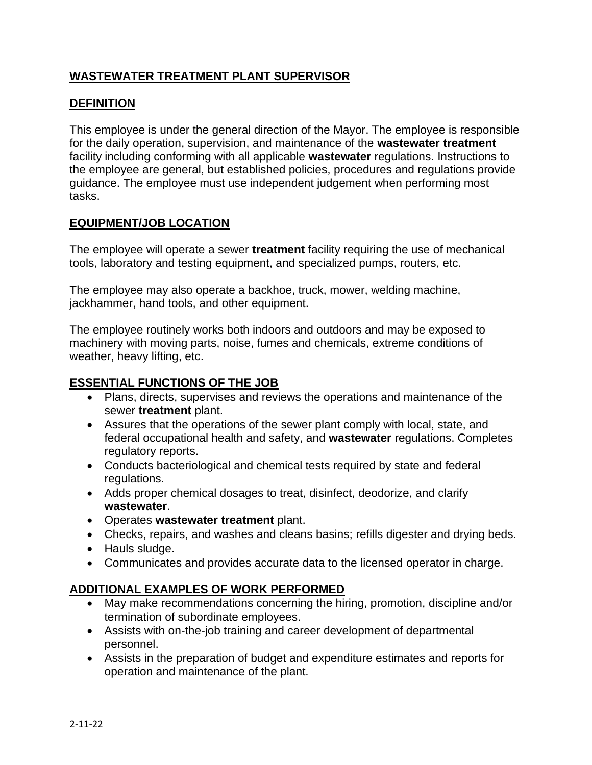# **WASTEWATER TREATMENT PLANT SUPERVISOR**

### **DEFINITION**

This employee is under the general direction of the Mayor. The employee is responsible for the daily operation, supervision, and maintenance of the **wastewater treatment** facility including conforming with all applicable **wastewater** regulations. Instructions to the employee are general, but established policies, procedures and regulations provide guidance. The employee must use independent judgement when performing most tasks.

### **EQUIPMENT/JOB LOCATION**

The employee will operate a sewer **treatment** facility requiring the use of mechanical tools, laboratory and testing equipment, and specialized pumps, routers, etc.

The employee may also operate a backhoe, truck, mower, welding machine, jackhammer, hand tools, and other equipment.

The employee routinely works both indoors and outdoors and may be exposed to machinery with moving parts, noise, fumes and chemicals, extreme conditions of weather, heavy lifting, etc.

#### **ESSENTIAL FUNCTIONS OF THE JOB**

- Plans, directs, supervises and reviews the operations and maintenance of the sewer **treatment** plant.
- Assures that the operations of the sewer plant comply with local, state, and federal occupational health and safety, and **wastewater** regulations. Completes regulatory reports.
- Conducts bacteriological and chemical tests required by state and federal regulations.
- Adds proper chemical dosages to treat, disinfect, deodorize, and clarify **wastewater**.
- Operates **wastewater treatment** plant.
- Checks, repairs, and washes and cleans basins; refills digester and drying beds.
- Hauls sludge.
- Communicates and provides accurate data to the licensed operator in charge.

#### **ADDITIONAL EXAMPLES OF WORK PERFORMED**

- May make recommendations concerning the hiring, promotion, discipline and/or termination of subordinate employees.
- Assists with on-the-job training and career development of departmental personnel.
- Assists in the preparation of budget and expenditure estimates and reports for operation and maintenance of the plant.